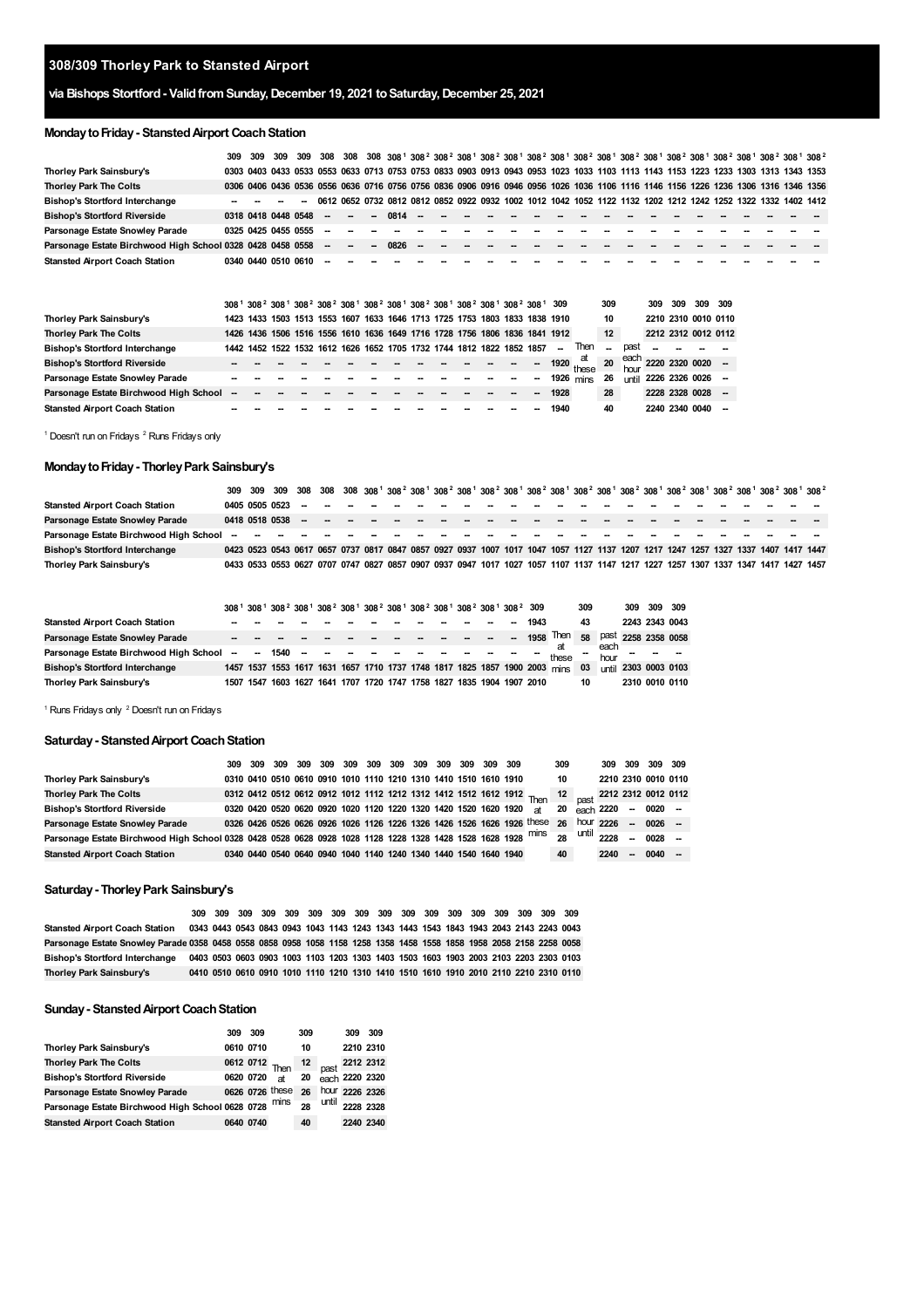### **308/309 Thorley Park to Stansted Airport**

# **via Bishops Stortford- ValidfromSunday,December 19, 2021 toSaturday,December 25, 2021**

### **Monday to Friday - Stansted Airport Coach Station**

|                                                            | 309 | 309                 | 309 | 309 | 308 | 308 |        |      | 308 308 <sup>1</sup> 308 <sup>2</sup> 308 <sup>2</sup> 308 <sup>1</sup> 308 <sup>2</sup> 308 <sup>1</sup> 308 <sup>2</sup> 308 <sup>1</sup> 308 <sup>2</sup> 308 <sup>1</sup> 308 <sup>2</sup> 308 <sup>1</sup> 308 <sup>2</sup> 308 <sup>1</sup> 308 <sup>2</sup> 308 <sup>1</sup> 308 <sup>2</sup> 308 <sup>1</sup> 308 <sup>2</sup> |  |  |                          |                   |     |              |                |                   |                     |  |  |
|------------------------------------------------------------|-----|---------------------|-----|-----|-----|-----|--------|------|----------------------------------------------------------------------------------------------------------------------------------------------------------------------------------------------------------------------------------------------------------------------------------------------------------------------------------------|--|--|--------------------------|-------------------|-----|--------------|----------------|-------------------|---------------------|--|--|
| Thorley Park Sainsbury's                                   |     |                     |     |     |     |     |        |      | 0303 0403 0433 0533 0553 0633 0713 0753 0753 0833 0903 0913 0943 0953 1023 1033 1103 1113 1143 1153 1223 1233 1303 1313 1343 1353                                                                                                                                                                                                      |  |  |                          |                   |     |              |                |                   |                     |  |  |
| <b>Thorley Park The Colts</b>                              |     |                     |     |     |     |     |        |      | 0306 0406 0436 0536 0556 0636 0716 0756 0756 0836 0906 0916 0946 0956 1026 1036 1106 1116 1146 1156 1226 1236 1306 1316 1346 1356                                                                                                                                                                                                      |  |  |                          |                   |     |              |                |                   |                     |  |  |
| <b>Bishop's Stortford Interchange</b>                      |     |                     |     |     |     |     |        |      | 0612 0652 0732 0812 0812 0852 0922 0932 1002 1012 1042 1052 1122 1132 1202 1212 1242 1252 1322 1332 1402 1412                                                                                                                                                                                                                          |  |  |                          |                   |     |              |                |                   |                     |  |  |
| <b>Bishop's Stortford Riverside</b>                        |     | 0318 0418 0448 0548 |     |     |     |     |        | 0814 |                                                                                                                                                                                                                                                                                                                                        |  |  |                          |                   |     |              |                |                   |                     |  |  |
| Parsonage Estate Snowley Parade                            |     | 0325 0425 0455 0555 |     |     |     |     |        |      |                                                                                                                                                                                                                                                                                                                                        |  |  |                          |                   |     |              |                |                   |                     |  |  |
| Parsonage Estate Birchwood High School 0328 0428 0458 0558 |     |                     |     |     |     |     | $\sim$ | 0826 |                                                                                                                                                                                                                                                                                                                                        |  |  |                          |                   |     |              |                |                   |                     |  |  |
| <b>Stansted Arport Coach Station</b>                       |     | 0340 0440 0510 0610 |     |     |     |     |        |      |                                                                                                                                                                                                                                                                                                                                        |  |  |                          |                   |     |              |                |                   |                     |  |  |
|                                                            |     |                     |     |     |     |     |        |      |                                                                                                                                                                                                                                                                                                                                        |  |  |                          |                   |     |              |                |                   |                     |  |  |
|                                                            |     |                     |     |     |     |     |        |      |                                                                                                                                                                                                                                                                                                                                        |  |  |                          |                   |     |              |                |                   |                     |  |  |
|                                                            |     |                     |     |     |     |     |        |      | 308 <sup>1</sup> 308 <sup>2</sup> 308 <sup>1</sup> 308 <sup>2</sup> 308 <sup>2</sup> 308 <sup>1</sup> 308 <sup>2</sup> 308 <sup>1</sup> 308 <sup>2</sup> 308 <sup>1</sup> 308 <sup>2</sup> 308 <sup>1</sup> 308 <sup>2</sup> 308 <sup>1</sup> 309                                                                                      |  |  |                          |                   | 309 |              | 309            | 309               | 309 309             |  |  |
| Thorley Park Sainsbury's                                   |     |                     |     |     |     |     |        |      | 1423 1433 1503 1513 1553 1607 1633 1646 1713 1725 1753 1803 1833 1838 1910                                                                                                                                                                                                                                                             |  |  |                          |                   | 10  |              |                |                   | 2210 2310 0010 0110 |  |  |
| <b>Thorley Park The Colts</b>                              |     |                     |     |     |     |     |        |      | 1426 1436 1506 1516 1556 1610 1636 1649 1716 1728 1756 1806 1836 1841 1912                                                                                                                                                                                                                                                             |  |  |                          |                   | 12  |              |                |                   | 2212 2312 0012 0112 |  |  |
| <b>Bishop's Stortford Interchange</b>                      |     |                     |     |     |     |     |        |      | 1442 1452 1522 1532 1612 1626 1652 1705 1732 1744 1812 1822 1852 1857                                                                                                                                                                                                                                                                  |  |  | $\overline{\phantom{a}}$ | Then              |     | past         |                |                   |                     |  |  |
| <b>Bishop's Stortford Riverside</b>                        |     |                     |     |     |     |     |        |      |                                                                                                                                                                                                                                                                                                                                        |  |  | 1920                     | at<br>these       | 20  | each<br>hour |                | 2220 2320 0020 -- |                     |  |  |
| Parsonage Estate Snowley Parade                            |     |                     |     |     |     |     |        |      |                                                                                                                                                                                                                                                                                                                                        |  |  |                          | 1926 $\mathrm{m}$ | 26  | until        | 2226 2326 0026 |                   | $\sim$              |  |  |

<span id="page-0-1"></span><span id="page-0-0"></span><sup>1</sup> Doesn't run on Fridays<sup>2</sup> Runs Fridays only

**Parsonage Estate Birchwood High School Stansted Airport Coach Station**

### **MondaytoFriday- ThorleyPark Sainsbury's**

**-- --** **-- --** **-- --** **-- --** **-- --** **-- --** **-- --** **-- --** **-- --** **-- --** **-- --** **-- --** **-- --** **--**

**-- 1940 40 2240**

**28 2228**

 **0028 -- 0040 --**

| <b>Stansted Arport Coach Station</b>  |  |  |  |  |  |  |  |  |  |  |  |  |                                                                                                                                   |
|---------------------------------------|--|--|--|--|--|--|--|--|--|--|--|--|-----------------------------------------------------------------------------------------------------------------------------------|
| Parsonage Estate Snowley Parade       |  |  |  |  |  |  |  |  |  |  |  |  |                                                                                                                                   |
|                                       |  |  |  |  |  |  |  |  |  |  |  |  |                                                                                                                                   |
| <b>Bishop's Stortford Interchange</b> |  |  |  |  |  |  |  |  |  |  |  |  | 0423 0523 0543 0617 0657 0737 0817 0847 0857 0927 0937 1007 1017 1047 1057 1127 1137 1207 1217 1247 1257 1327 1337 1407 1417 1447 |
| Thorley Park Sainsbury's              |  |  |  |  |  |  |  |  |  |  |  |  | 0433 0533 0553 0627 0707 0747 0827 0857 0907 0937 0947 1017 1027 1057 1107 1137 1147 1217 1227 1257 1307 1337 1347 1417 1427 1457 |

|                                          |        |        |  |                            |  |  | 308 <sup>1</sup> 308 <sup>1</sup> 308 <sup>2</sup> 308 <sup>1</sup> 308 <sup>2</sup> 308 <sup>1</sup> 308 <sup>2</sup> 308 <sup>1</sup> 308 <sup>2</sup> 308 <sup>1</sup> 308 <sup>2</sup> 308 <sup>1</sup> 308 <sup>2</sup> 309 |    |      |                                                                            | 309  |              | 309 | 309 309 |                      |
|------------------------------------------|--------|--------|--|----------------------------|--|--|----------------------------------------------------------------------------------------------------------------------------------------------------------------------------------------------------------------------------------|----|------|----------------------------------------------------------------------------|------|--------------|-----|---------|----------------------|
| <b>Stansted Airport Coach Station</b>    |        |        |  |                            |  |  |                                                                                                                                                                                                                                  | -- | 1943 |                                                                            | 43   |              |     |         | 2243 2343 0043       |
| Parsonage Estate Snowley Parade          |        |        |  |                            |  |  |                                                                                                                                                                                                                                  |    | 1958 | Then                                                                       | 58   |              |     |         | past 2258 2358 0058  |
| Parsonage Estate Birchwood High School - | $\sim$ | 1540 - |  | المستنقذ المستنقذ المستنقذ |  |  |                                                                                                                                                                                                                                  |    |      | these                                                                      |      | each<br>hour |     |         |                      |
| <b>Bishop's Stortford Interchange</b>    |        |        |  |                            |  |  |                                                                                                                                                                                                                                  |    |      | 1457 1537 1553 1617 1631 1657 1710 1737 1748 1817 1825 1857 1900 2003 mins | - 03 |              |     |         | until 2303 0003 0103 |
| <b>Thorley Park Sainsbury's</b>          |        |        |  |                            |  |  | 1507 1547 1603 1627 1641 1707 1720 1747 1758 1827 1835 1904 1907 2010                                                                                                                                                            |    |      |                                                                            | 10   |              |     |         | 2310 0010 0110       |

Runs Fridays only <sup>2</sup> Doesn't run on Fridays

#### **Saturday - Stansted Airport Coach Station**

|                                                                                                                 |                                                                     |  |  |  |  |  |                                                                                                   | 309 |      | 309 309 309 309       |    |
|-----------------------------------------------------------------------------------------------------------------|---------------------------------------------------------------------|--|--|--|--|--|---------------------------------------------------------------------------------------------------|-----|------|-----------------------|----|
| Thorley Park Sainsbury's                                                                                        | 0310 0410 0510 0610 0910 1010 1110 1210 1310 1410 1510 1610 1910    |  |  |  |  |  |                                                                                                   | 10  |      | 2210 2310 0010 0110   |    |
| <b>Thorley Park The Colts</b>                                                                                   |                                                                     |  |  |  |  |  | 0312 0412 0512 0612 0912 1012 1112 1212 1312 1412 1512 1612 1912 Then 12 past 2212 2312 0012 0112 |     |      |                       |    |
| <b>Bishop's Stortford Riverside</b>                                                                             | 0320 0420 0520 0620 0920 1020 1120 1220 1320 1420 1520 1620 1920 at |  |  |  |  |  |                                                                                                   |     |      | 20 each 2220 - 0020 - |    |
| Parsonage Estate Snowley Parade                                                                                 |                                                                     |  |  |  |  |  | 0326 0426 0526 0626 0926 1026 1126 1226 1326 1426 1526 1626 1926 these 26 hour 2226 - 0026 -      |     |      |                       |    |
| Parsonage Estate Birchwood High School 0328 0428 0528 0628 0928 1028 1128 1228 1328 1428 1528 1628 1928 mins 28 |                                                                     |  |  |  |  |  |                                                                                                   |     |      | until $2228 - 0028$   |    |
| <b>Stansted Arport Coach Station</b>                                                                            | 0340 0440 0540 0640 0940 1040 1140 1240 1340 1440 1540 1640 1940    |  |  |  |  |  |                                                                                                   | 40  | 2240 | 0040                  | -- |

#### **Saturday- ThorleyPark Sainsbury's**

Stansted Airport Coach Station 0343 0443 0543 0843 0943 1043 1143 1243 1343 1443 1543 1843 1943 2043 2143 2243 0043 Parsonage Estate Snowley Parade 0358 0458 0558 0858 0958 1058 1158 1258 1358 1458 1558 1858 1958 2058 2158 2258 0058 Bishop's Stortford Interchange 0403 0503 0603 0903 1003 1103 1203 1303 1403 1503 1603 1903 2003 2103 2203 2303 0103 **Thorley Park Sainsbury's 309 309 309 309 309 309 309 309 309 309 309 309 309 309 309 309 0510 0610 0910 1010 1110 1210 1310 1410 1510 1610 1910 2010 2110 2210 2310 0110**

### **Sunday - Stansted Airport Coach Station**

|                                                  | 309 | 309       |                                   | 309 |                   | 309       | 309             |
|--------------------------------------------------|-----|-----------|-----------------------------------|-----|-------------------|-----------|-----------------|
| Thorley Park Sainsbury's                         |     | 0610 0710 |                                   | 10  |                   | 2210 2310 |                 |
| <b>Thorley Park The Colts</b>                    |     |           | 0612 0712 Then 12 past 2212 2312  |     |                   |           |                 |
| <b>Bishop's Stortford Riverside</b>              |     | 0620 0720 | at                                |     | 20 each 2220 2320 |           |                 |
| Parsonage Estate Snowley Parade                  |     |           | 0626 0726 these 26 hour 2226 2326 |     |                   |           |                 |
| Parsonage Estate Birchwood High School 0628 0728 |     |           | mins                              | 28  |                   |           | until 2228 2328 |
| <b>Stansted Arport Coach Station</b>             |     | 0640 0740 |                                   | 40  |                   | 2240 2340 |                 |